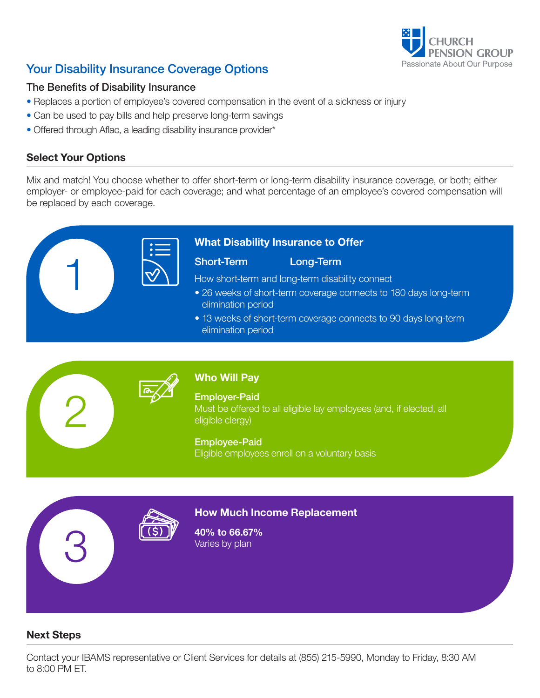

# Your Disability Insurance Coverage Options

# The Benefits of Disability Insurance

- Replaces a portion of employee's covered compensation in the event of a sickness or injury
- Can be used to pay bills and help preserve long-term savings
- Offered through Aflac, a leading disability insurance provider\*

# Select Your Options

2

3

Mix and match! You choose whether to offer short-term or long-term disability insurance coverage, or both; either employer- or employee-paid for each coverage; and what percentage of an employee's covered compensation will be replaced by each coverage.



# What Disability Insurance to Offer

### Short-Term Long-Term

How short-term and long-term disability connect

- 26 weeks of short-term coverage connects to 180 days long-term elimination period
- 13 weeks of short-term coverage connects to 90 days long-term elimination period



# Who Will Pay

Employer-Paid Must be offered to all eligible lay employees (and, if elected, all eligible clergy)

#### Employee-Paid

Eligible employees enroll on a voluntary basis



# How Much Income Replacement

40% to 66.67% Varies by plan

# Next Steps

Contact your IBAMS representative or Client Services for details at (855) 215-5990, Monday to Friday, 8:30 AM to 8:00 PM ET.